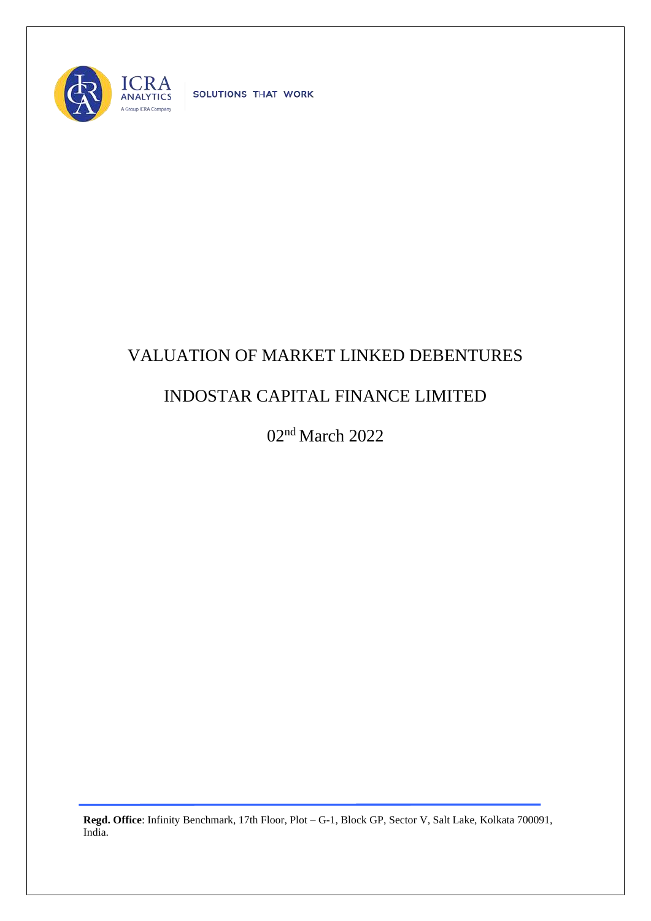

SOLUTIONS THAT WORK

## VALUATION OF MARKET LINKED DEBENTURES

## INDOSTAR CAPITAL FINANCE LIMITED

02nd March 2022

**Regd. Office**: Infinity Benchmark, 17th Floor, Plot – G-1, Block GP, Sector V, Salt Lake, Kolkata 700091, India.